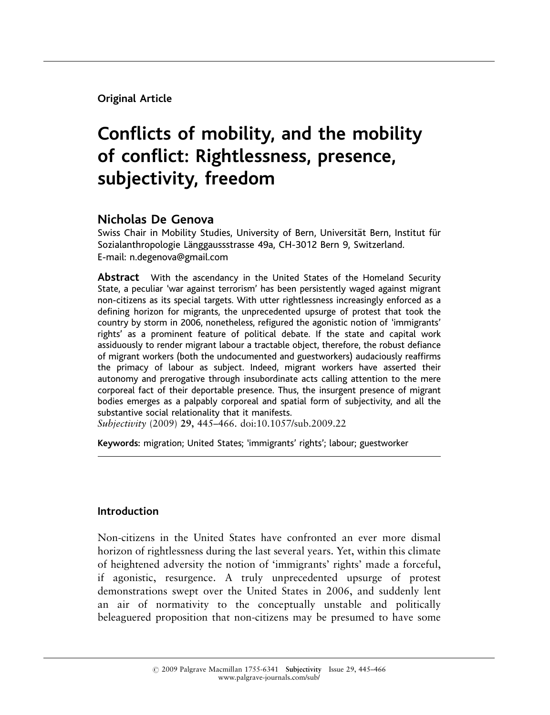Original Article

# Conflicts of mobility, and the mobility of conflict: Rightlessness, presence, subjectivity, freedom

# Nicholas De Genova

Swiss Chair in Mobility Studies, University of Bern, Universität Bern, Institut für Sozialanthropologie Länggaussstrasse 49a, CH-3012 Bern 9, Switzerland. E-mail: n.degenova@gmail.com

Abstract With the ascendancy in the United States of the Homeland Security State, a peculiar 'war against terrorism' has been persistently waged against migrant non-citizens as its special targets. With utter rightlessness increasingly enforced as a defining horizon for migrants, the unprecedented upsurge of protest that took the country by storm in 2006, nonetheless, refigured the agonistic notion of 'immigrants' rights' as a prominent feature of political debate. If the state and capital work assiduously to render migrant labour a tractable object, therefore, the robust defiance of migrant workers (both the undocumented and guestworkers) audaciously reaffirms the primacy of labour as subject. Indeed, migrant workers have asserted their autonomy and prerogative through insubordinate acts calling attention to the mere corporeal fact of their deportable presence. Thus, the insurgent presence of migrant bodies emerges as a palpably corporeal and spatial form of subjectivity, and all the substantive social relationality that it manifests.

Subjectivity (2009) 29, 445–466. doi:10.1057/sub.2009.22

Keywords: migration; United States; 'immigrants' rights'; labour; guestworker

## Introduction

Non-citizens in the United States have confronted an ever more dismal horizon of rightlessness during the last several years. Yet, within this climate of heightened adversity the notion of 'immigrants' rights' made a forceful, if agonistic, resurgence. A truly unprecedented upsurge of protest demonstrations swept over the United States in 2006, and suddenly lent an air of normativity to the conceptually unstable and politically beleaguered proposition that non-citizens may be presumed to have some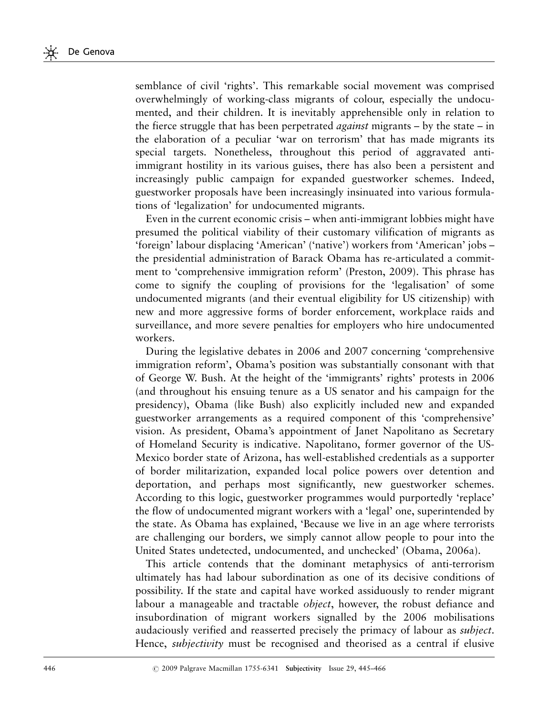semblance of civil 'rights'. This remarkable social movement was comprised overwhelmingly of working-class migrants of colour, especially the undocumented, and their children. It is inevitably apprehensible only in relation to the fierce struggle that has been perpetrated *against* migrants  $-$  by the state  $-$  in the elaboration of a peculiar 'war on terrorism' that has made migrants its special targets. Nonetheless, throughout this period of aggravated antiimmigrant hostility in its various guises, there has also been a persistent and increasingly public campaign for expanded guestworker schemes. Indeed, guestworker proposals have been increasingly insinuated into various formulations of 'legalization' for undocumented migrants.

Even in the current economic crisis – when anti-immigrant lobbies might have presumed the political viability of their customary vilification of migrants as 'foreign' labour displacing 'American' ('native') workers from 'American' jobs – the presidential administration of Barack Obama has re-articulated a commitment to 'comprehensive immigration reform' (Preston, 2009). This phrase has come to signify the coupling of provisions for the 'legalisation' of some undocumented migrants (and their eventual eligibility for US citizenship) with new and more aggressive forms of border enforcement, workplace raids and surveillance, and more severe penalties for employers who hire undocumented workers.

During the legislative debates in 2006 and 2007 concerning 'comprehensive immigration reform', Obama's position was substantially consonant with that of George W. Bush. At the height of the 'immigrants' rights' protests in 2006 (and throughout his ensuing tenure as a US senator and his campaign for the presidency), Obama (like Bush) also explicitly included new and expanded guestworker arrangements as a required component of this 'comprehensive' vision. As president, Obama's appointment of Janet Napolitano as Secretary of Homeland Security is indicative. Napolitano, former governor of the US-Mexico border state of Arizona, has well-established credentials as a supporter of border militarization, expanded local police powers over detention and deportation, and perhaps most significantly, new guestworker schemes. According to this logic, guestworker programmes would purportedly 'replace' the flow of undocumented migrant workers with a 'legal' one, superintended by the state. As Obama has explained, 'Because we live in an age where terrorists are challenging our borders, we simply cannot allow people to pour into the United States undetected, undocumented, and unchecked' (Obama, 2006a).

This article contends that the dominant metaphysics of anti-terrorism ultimately has had labour subordination as one of its decisive conditions of possibility. If the state and capital have worked assiduously to render migrant labour a manageable and tractable *object*, however, the robust defiance and insubordination of migrant workers signalled by the 2006 mobilisations audaciously verified and reasserted precisely the primacy of labour as subject. Hence, *subjectivity* must be recognised and theorised as a central if elusive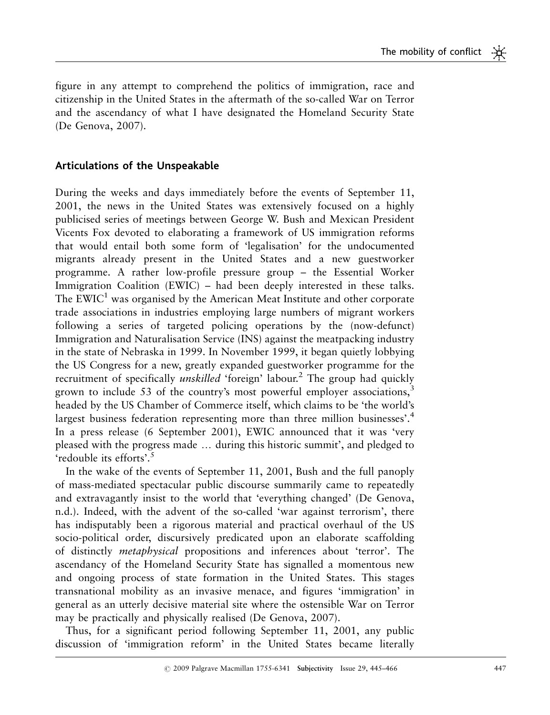figure in any attempt to comprehend the politics of immigration, race and citizenship in the United States in the aftermath of the so-called War on Terror and the ascendancy of what I have designated the Homeland Security State (De Genova, 2007).

### Articulations of the Unspeakable

During the weeks and days immediately before the events of September 11, 2001, the news in the United States was extensively focused on a highly publicised series of meetings between George W. Bush and Mexican President Vicents Fox devoted to elaborating a framework of US immigration reforms that would entail both some form of 'legalisation' for the undocumented migrants already present in the United States and a new guestworker programme. A rather low-profile pressure group – the Essential Worker Immigration Coalition (EWIC) – had been deeply interested in these talks. The  $EWIC<sup>1</sup>$  was organised by the American Meat Institute and other corporate trade associations in industries employing large numbers of migrant workers following a series of targeted policing operations by the (now-defunct) Immigration and Naturalisation Service (INS) against the meatpacking industry in the state of Nebraska in 1999. In November 1999, it began quietly lobbying the US Congress for a new, greatly expanded guestworker programme for the recruitment of specifically *unskilled* 'foreign' labour.<sup>2</sup> The group had quickly grown to include 53 of the country's most powerful employer associations, $3$ headed by the US Chamber of Commerce itself, which claims to be 'the world's largest business federation representing more than three million businesses<sup>?</sup> In a press release (6 September 2001), EWIC announced that it was 'very pleased with the progress made ... during this historic summit', and pledged to 'redouble its efforts'.<sup>5</sup>

In the wake of the events of September 11, 2001, Bush and the full panoply of mass-mediated spectacular public discourse summarily came to repeatedly and extravagantly insist to the world that 'everything changed' (De Genova, n.d.). Indeed, with the advent of the so-called 'war against terrorism', there has indisputably been a rigorous material and practical overhaul of the US socio-political order, discursively predicated upon an elaborate scaffolding of distinctly metaphysical propositions and inferences about 'terror'. The ascendancy of the Homeland Security State has signalled a momentous new and ongoing process of state formation in the United States. This stages transnational mobility as an invasive menace, and figures 'immigration' in general as an utterly decisive material site where the ostensible War on Terror may be practically and physically realised (De Genova, 2007).

Thus, for a significant period following September 11, 2001, any public discussion of 'immigration reform' in the United States became literally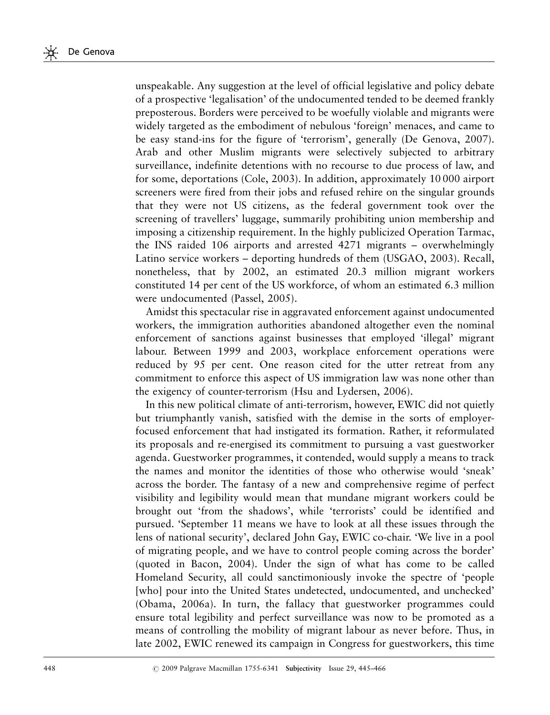unspeakable. Any suggestion at the level of official legislative and policy debate of a prospective 'legalisation' of the undocumented tended to be deemed frankly preposterous. Borders were perceived to be woefully violable and migrants were widely targeted as the embodiment of nebulous 'foreign' menaces, and came to be easy stand-ins for the figure of 'terrorism', generally (De Genova, 2007). Arab and other Muslim migrants were selectively subjected to arbitrary surveillance, indefinite detentions with no recourse to due process of law, and for some, deportations (Cole, 2003). In addition, approximately 10 000 airport screeners were fired from their jobs and refused rehire on the singular grounds that they were not US citizens, as the federal government took over the screening of travellers' luggage, summarily prohibiting union membership and imposing a citizenship requirement. In the highly publicized Operation Tarmac, the INS raided 106 airports and arrested 4271 migrants – overwhelmingly Latino service workers – deporting hundreds of them (USGAO, 2003). Recall, nonetheless, that by 2002, an estimated 20.3 million migrant workers constituted 14 per cent of the US workforce, of whom an estimated 6.3 million were undocumented (Passel, 2005).

Amidst this spectacular rise in aggravated enforcement against undocumented workers, the immigration authorities abandoned altogether even the nominal enforcement of sanctions against businesses that employed 'illegal' migrant labour. Between 1999 and 2003, workplace enforcement operations were reduced by 95 per cent. One reason cited for the utter retreat from any commitment to enforce this aspect of US immigration law was none other than the exigency of counter-terrorism (Hsu and Lydersen, 2006).

In this new political climate of anti-terrorism, however, EWIC did not quietly but triumphantly vanish, satisfied with the demise in the sorts of employerfocused enforcement that had instigated its formation. Rather, it reformulated its proposals and re-energised its commitment to pursuing a vast guestworker agenda. Guestworker programmes, it contended, would supply a means to track the names and monitor the identities of those who otherwise would 'sneak' across the border. The fantasy of a new and comprehensive regime of perfect visibility and legibility would mean that mundane migrant workers could be brought out 'from the shadows', while 'terrorists' could be identified and pursued. 'September 11 means we have to look at all these issues through the lens of national security', declared John Gay, EWIC co-chair. 'We live in a pool of migrating people, and we have to control people coming across the border' (quoted in Bacon, 2004). Under the sign of what has come to be called Homeland Security, all could sanctimoniously invoke the spectre of 'people [who] pour into the United States undetected, undocumented, and unchecked' (Obama, 2006a). In turn, the fallacy that guestworker programmes could ensure total legibility and perfect surveillance was now to be promoted as a means of controlling the mobility of migrant labour as never before. Thus, in late 2002, EWIC renewed its campaign in Congress for guestworkers, this time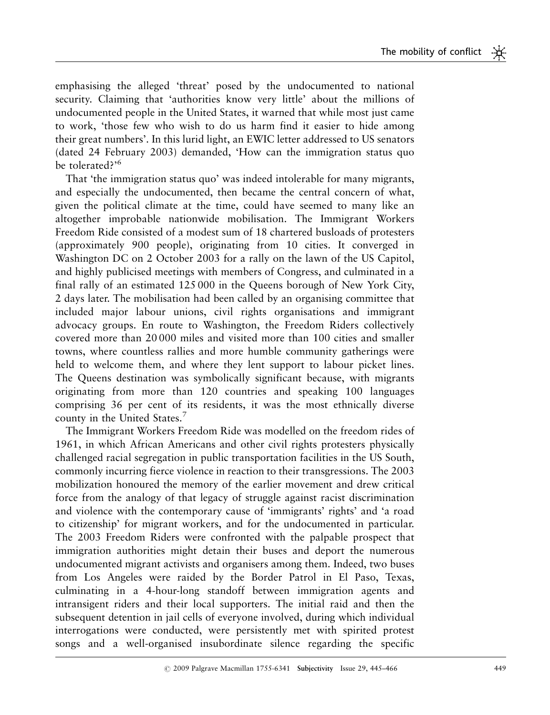emphasising the alleged 'threat' posed by the undocumented to national security. Claiming that 'authorities know very little' about the millions of undocumented people in the United States, it warned that while most just came to work, 'those few who wish to do us harm find it easier to hide among their great numbers'. In this lurid light, an EWIC letter addressed to US senators (dated 24 February 2003) demanded, 'How can the immigration status quo be tolerated?'<sup>6</sup>

That 'the immigration status quo' was indeed intolerable for many migrants, and especially the undocumented, then became the central concern of what, given the political climate at the time, could have seemed to many like an altogether improbable nationwide mobilisation. The Immigrant Workers Freedom Ride consisted of a modest sum of 18 chartered busloads of protesters (approximately 900 people), originating from 10 cities. It converged in Washington DC on 2 October 2003 for a rally on the lawn of the US Capitol, and highly publicised meetings with members of Congress, and culminated in a final rally of an estimated 125 000 in the Queens borough of New York City, 2 days later. The mobilisation had been called by an organising committee that included major labour unions, civil rights organisations and immigrant advocacy groups. En route to Washington, the Freedom Riders collectively covered more than 20 000 miles and visited more than 100 cities and smaller towns, where countless rallies and more humble community gatherings were held to welcome them, and where they lent support to labour picket lines. The Queens destination was symbolically significant because, with migrants originating from more than 120 countries and speaking 100 languages comprising 36 per cent of its residents, it was the most ethnically diverse county in the United States.<sup>7</sup>

The Immigrant Workers Freedom Ride was modelled on the freedom rides of 1961, in which African Americans and other civil rights protesters physically challenged racial segregation in public transportation facilities in the US South, commonly incurring fierce violence in reaction to their transgressions. The 2003 mobilization honoured the memory of the earlier movement and drew critical force from the analogy of that legacy of struggle against racist discrimination and violence with the contemporary cause of 'immigrants' rights' and 'a road to citizenship' for migrant workers, and for the undocumented in particular. The 2003 Freedom Riders were confronted with the palpable prospect that immigration authorities might detain their buses and deport the numerous undocumented migrant activists and organisers among them. Indeed, two buses from Los Angeles were raided by the Border Patrol in El Paso, Texas, culminating in a 4-hour-long standoff between immigration agents and intransigent riders and their local supporters. The initial raid and then the subsequent detention in jail cells of everyone involved, during which individual interrogations were conducted, were persistently met with spirited protest songs and a well-organised insubordinate silence regarding the specific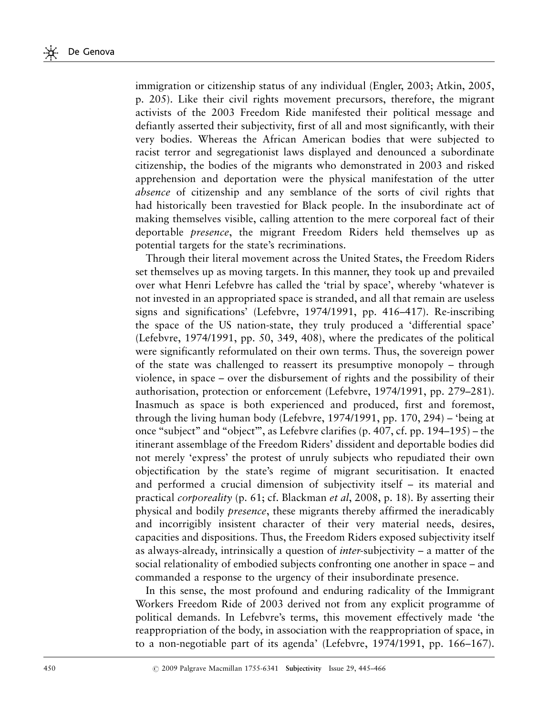immigration or citizenship status of any individual (Engler, 2003; Atkin, 2005, p. 205). Like their civil rights movement precursors, therefore, the migrant activists of the 2003 Freedom Ride manifested their political message and defiantly asserted their subjectivity, first of all and most significantly, with their very bodies. Whereas the African American bodies that were subjected to racist terror and segregationist laws displayed and denounced a subordinate citizenship, the bodies of the migrants who demonstrated in 2003 and risked apprehension and deportation were the physical manifestation of the utter absence of citizenship and any semblance of the sorts of civil rights that had historically been travestied for Black people. In the insubordinate act of making themselves visible, calling attention to the mere corporeal fact of their deportable presence, the migrant Freedom Riders held themselves up as potential targets for the state's recriminations.

Through their literal movement across the United States, the Freedom Riders set themselves up as moving targets. In this manner, they took up and prevailed over what Henri Lefebvre has called the 'trial by space', whereby 'whatever is not invested in an appropriated space is stranded, and all that remain are useless signs and significations' (Lefebvre, 1974/1991, pp. 416–417). Re-inscribing the space of the US nation-state, they truly produced a 'differential space' (Lefebvre, 1974/1991, pp. 50, 349, 408), where the predicates of the political were significantly reformulated on their own terms. Thus, the sovereign power of the state was challenged to reassert its presumptive monopoly – through violence, in space – over the disbursement of rights and the possibility of their authorisation, protection or enforcement (Lefebvre, 1974/1991, pp. 279–281). Inasmuch as space is both experienced and produced, first and foremost, through the living human body (Lefebvre, 1974/1991, pp. 170, 294) – 'being at once ''subject'' and ''object''', as Lefebvre clarifies (p. 407, cf. pp. 194–195) – the itinerant assemblage of the Freedom Riders' dissident and deportable bodies did not merely 'express' the protest of unruly subjects who repudiated their own objectification by the state's regime of migrant securitisation. It enacted and performed a crucial dimension of subjectivity itself – its material and practical corporeality (p. 61; cf. Blackman et al, 2008, p. 18). By asserting their physical and bodily presence, these migrants thereby affirmed the ineradicably and incorrigibly insistent character of their very material needs, desires, capacities and dispositions. Thus, the Freedom Riders exposed subjectivity itself as always-already, intrinsically a question of *inter*-subjectivity – a matter of the social relationality of embodied subjects confronting one another in space – and commanded a response to the urgency of their insubordinate presence.

In this sense, the most profound and enduring radicality of the Immigrant Workers Freedom Ride of 2003 derived not from any explicit programme of political demands. In Lefebvre's terms, this movement effectively made 'the reappropriation of the body, in association with the reappropriation of space, in to a non-negotiable part of its agenda' (Lefebvre, 1974/1991, pp. 166–167).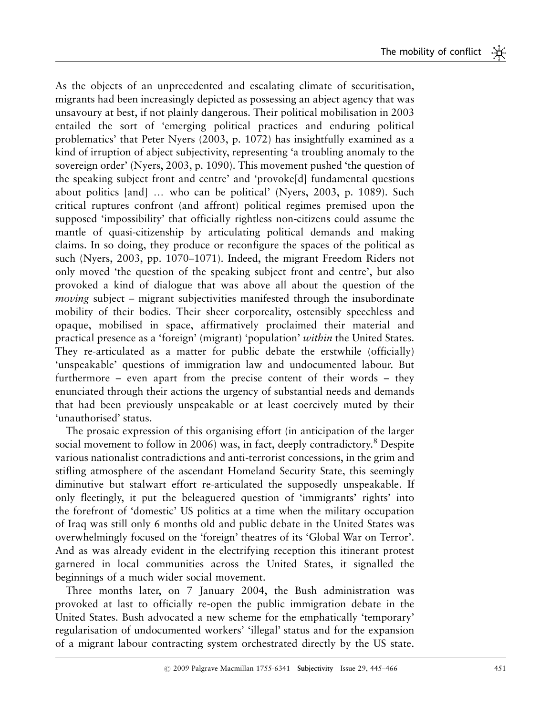As the objects of an unprecedented and escalating climate of securitisation, migrants had been increasingly depicted as possessing an abject agency that was unsavoury at best, if not plainly dangerous. Their political mobilisation in 2003 entailed the sort of 'emerging political practices and enduring political problematics' that Peter Nyers (2003, p. 1072) has insightfully examined as a kind of irruption of abject subjectivity, representing 'a troubling anomaly to the sovereign order' (Nyers, 2003, p. 1090). This movement pushed 'the question of the speaking subject front and centre' and 'provoke[d] fundamental questions about politics [and]  $\ldots$  who can be political' (Nyers, 2003, p. 1089). Such critical ruptures confront (and affront) political regimes premised upon the supposed 'impossibility' that officially rightless non-citizens could assume the mantle of quasi-citizenship by articulating political demands and making claims. In so doing, they produce or reconfigure the spaces of the political as such (Nyers, 2003, pp. 1070–1071). Indeed, the migrant Freedom Riders not only moved 'the question of the speaking subject front and centre', but also provoked a kind of dialogue that was above all about the question of the *moving* subject – migrant subjectivities manifested through the insubordinate mobility of their bodies. Their sheer corporeality, ostensibly speechless and opaque, mobilised in space, affirmatively proclaimed their material and practical presence as a 'foreign' (migrant) 'population' within the United States. They re-articulated as a matter for public debate the erstwhile (officially) 'unspeakable' questions of immigration law and undocumented labour. But furthermore – even apart from the precise content of their words – they enunciated through their actions the urgency of substantial needs and demands that had been previously unspeakable or at least coercively muted by their 'unauthorised' status.

The prosaic expression of this organising effort (in anticipation of the larger social movement to follow in 2006) was, in fact, deeply contradictory.<sup>8</sup> Despite various nationalist contradictions and anti-terrorist concessions, in the grim and stifling atmosphere of the ascendant Homeland Security State, this seemingly diminutive but stalwart effort re-articulated the supposedly unspeakable. If only fleetingly, it put the beleaguered question of 'immigrants' rights' into the forefront of 'domestic' US politics at a time when the military occupation of Iraq was still only 6 months old and public debate in the United States was overwhelmingly focused on the 'foreign' theatres of its 'Global War on Terror'. And as was already evident in the electrifying reception this itinerant protest garnered in local communities across the United States, it signalled the beginnings of a much wider social movement.

Three months later, on 7 January 2004, the Bush administration was provoked at last to officially re-open the public immigration debate in the United States. Bush advocated a new scheme for the emphatically 'temporary' regularisation of undocumented workers' 'illegal' status and for the expansion of a migrant labour contracting system orchestrated directly by the US state.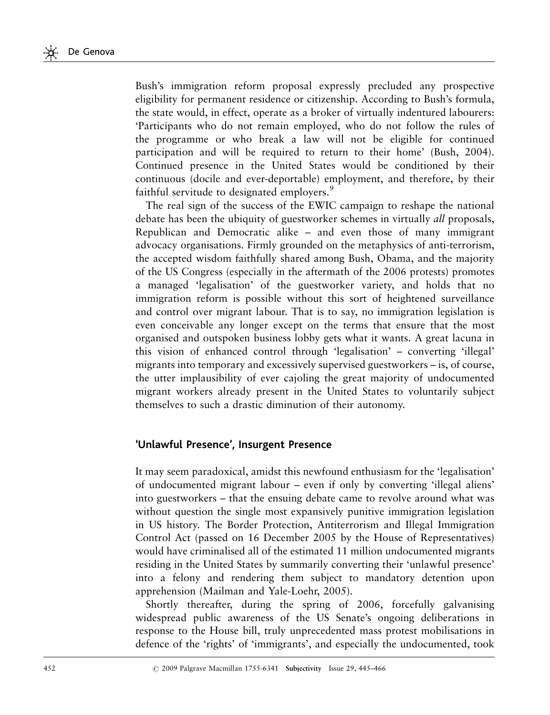Bush's immigration reform proposal expressly precluded any prospective eligibility for permanent residence or citizenship. According to Bush's formula, the state would, in effect, operate as a broker of virtually indentured labourers: 'Participants who do not remain employed, who do not follow the rules of the programme or who break a law will not be eligible for continued participation and will be required to return to their home' (Bush, 2004). Continued presence in the United States would be conditioned by their continuous (docile and ever-deportable) employment, and therefore, by their faithful servitude to designated employers.<sup>9</sup>

The real sign of the success of the EWIC campaign to reshape the national debate has been the ubiquity of guestworker schemes in virtually *all* proposals, Republican and Democratic alike – and even those of many immigrant advocacy organisations. Firmly grounded on the metaphysics of anti-terrorism, the accepted wisdom faithfully shared among Bush, Obama, and the majority of the US Congress (especially in the aftermath of the 2006 protests) promotes a managed 'legalisation' of the guestworker variety, and holds that no immigration reform is possible without this sort of heightened surveillance and control over migrant labour. That is to say, no immigration legislation is even conceivable any longer except on the terms that ensure that the most organised and outspoken business lobby gets what it wants. A great lacuna in this vision of enhanced control through 'legalisation' – converting 'illegal' migrants into temporary and excessively supervised guestworkers – is, of course, the utter implausibility of ever cajoling the great majority of undocumented migrant workers already present in the United States to voluntarily subject themselves to such a drastic diminution of their autonomy.

#### 'Unlawful Presence', Insurgent Presence

It may seem paradoxical, amidst this newfound enthusiasm for the 'legalisation' of undocumented migrant labour – even if only by converting 'illegal aliens' into guestworkers – that the ensuing debate came to revolve around what was without question the single most expansively punitive immigration legislation in US history. The Border Protection, Antiterrorism and Illegal Immigration Control Act (passed on 16 December 2005 by the House of Representatives) would have criminalised all of the estimated 11 million undocumented migrants residing in the United States by summarily converting their 'unlawful presence' into a felony and rendering them subject to mandatory detention upon apprehension (Mailman and Yale-Loehr, 2005).

Shortly thereafter, during the spring of 2006, forcefully galvanising widespread public awareness of the US Senate's ongoing deliberations in response to the House bill, truly unprecedented mass protest mobilisations in defence of the 'rights' of 'immigrants', and especially the undocumented, took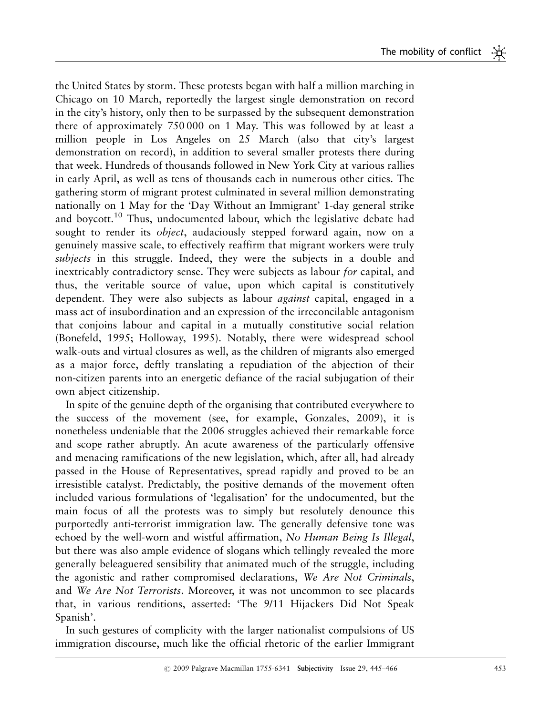the United States by storm. These protests began with half a million marching in Chicago on 10 March, reportedly the largest single demonstration on record in the city's history, only then to be surpassed by the subsequent demonstration there of approximately 750 000 on 1 May. This was followed by at least a million people in Los Angeles on 25 March (also that city's largest demonstration on record), in addition to several smaller protests there during that week. Hundreds of thousands followed in New York City at various rallies in early April, as well as tens of thousands each in numerous other cities. The gathering storm of migrant protest culminated in several million demonstrating nationally on 1 May for the 'Day Without an Immigrant' 1-day general strike and boycott.<sup>10</sup> Thus, undocumented labour, which the legislative debate had sought to render its *object*, audaciously stepped forward again, now on a genuinely massive scale, to effectively reaffirm that migrant workers were truly subjects in this struggle. Indeed, they were the subjects in a double and inextricably contradictory sense. They were subjects as labour for capital, and thus, the veritable source of value, upon which capital is constitutively dependent. They were also subjects as labour *against* capital, engaged in a mass act of insubordination and an expression of the irreconcilable antagonism that conjoins labour and capital in a mutually constitutive social relation (Bonefeld, 1995; Holloway, 1995). Notably, there were widespread school walk-outs and virtual closures as well, as the children of migrants also emerged as a major force, deftly translating a repudiation of the abjection of their non-citizen parents into an energetic defiance of the racial subjugation of their own abject citizenship.

In spite of the genuine depth of the organising that contributed everywhere to the success of the movement (see, for example, Gonzales, 2009), it is nonetheless undeniable that the 2006 struggles achieved their remarkable force and scope rather abruptly. An acute awareness of the particularly offensive and menacing ramifications of the new legislation, which, after all, had already passed in the House of Representatives, spread rapidly and proved to be an irresistible catalyst. Predictably, the positive demands of the movement often included various formulations of 'legalisation' for the undocumented, but the main focus of all the protests was to simply but resolutely denounce this purportedly anti-terrorist immigration law. The generally defensive tone was echoed by the well-worn and wistful affirmation, No Human Being Is Illegal, but there was also ample evidence of slogans which tellingly revealed the more generally beleaguered sensibility that animated much of the struggle, including the agonistic and rather compromised declarations, We Are Not Criminals, and We Are Not Terrorists. Moreover, it was not uncommon to see placards that, in various renditions, asserted: 'The 9/11 Hijackers Did Not Speak Spanish'.

In such gestures of complicity with the larger nationalist compulsions of US immigration discourse, much like the official rhetoric of the earlier Immigrant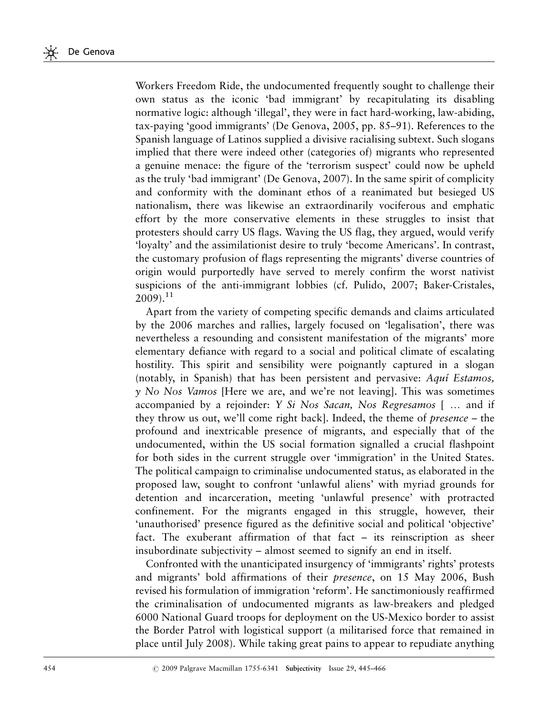Workers Freedom Ride, the undocumented frequently sought to challenge their own status as the iconic 'bad immigrant' by recapitulating its disabling normative logic: although 'illegal', they were in fact hard-working, law-abiding, tax-paying 'good immigrants' (De Genova, 2005, pp. 85–91). References to the Spanish language of Latinos supplied a divisive racialising subtext. Such slogans implied that there were indeed other (categories of) migrants who represented a genuine menace: the figure of the 'terrorism suspect' could now be upheld as the truly 'bad immigrant' (De Genova, 2007). In the same spirit of complicity and conformity with the dominant ethos of a reanimated but besieged US nationalism, there was likewise an extraordinarily vociferous and emphatic effort by the more conservative elements in these struggles to insist that protesters should carry US flags. Waving the US flag, they argued, would verify 'loyalty' and the assimilationist desire to truly 'become Americans'. In contrast, the customary profusion of flags representing the migrants' diverse countries of origin would purportedly have served to merely confirm the worst nativist suspicions of the anti-immigrant lobbies (cf. Pulido, 2007; Baker-Cristales,  $2009$ ).<sup>11</sup>

Apart from the variety of competing specific demands and claims articulated by the 2006 marches and rallies, largely focused on 'legalisation', there was nevertheless a resounding and consistent manifestation of the migrants' more elementary defiance with regard to a social and political climate of escalating hostility. This spirit and sensibility were poignantly captured in a slogan (notably, in Spanish) that has been persistent and pervasive:  $Aq\mu i$  Estamos, y No Nos Vamos [Here we are, and we're not leaving]. This was sometimes accompanied by a rejoinder: Y Si Nos Sacan, Nos Regresamos  $[$  ... and if they throw us out, we'll come right back]. Indeed, the theme of presence – the profound and inextricable presence of migrants, and especially that of the undocumented, within the US social formation signalled a crucial flashpoint for both sides in the current struggle over 'immigration' in the United States. The political campaign to criminalise undocumented status, as elaborated in the proposed law, sought to confront 'unlawful aliens' with myriad grounds for detention and incarceration, meeting 'unlawful presence' with protracted confinement. For the migrants engaged in this struggle, however, their 'unauthorised' presence figured as the definitive social and political 'objective' fact. The exuberant affirmation of that fact – its reinscription as sheer insubordinate subjectivity – almost seemed to signify an end in itself.

Confronted with the unanticipated insurgency of 'immigrants' rights' protests and migrants' bold affirmations of their presence, on 15 May 2006, Bush revised his formulation of immigration 'reform'. He sanctimoniously reaffirmed the criminalisation of undocumented migrants as law-breakers and pledged 6000 National Guard troops for deployment on the US-Mexico border to assist the Border Patrol with logistical support (a militarised force that remained in place until July 2008). While taking great pains to appear to repudiate anything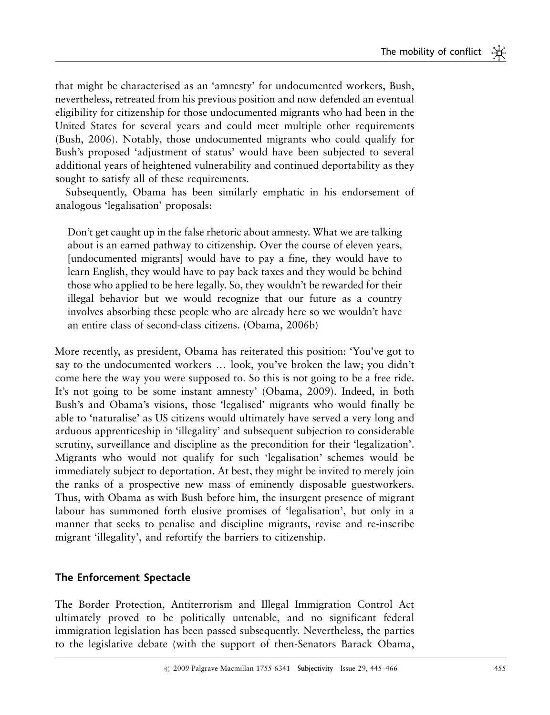that might be characterised as an 'amnesty' for undocumented workers, Bush, nevertheless, retreated from his previous position and now defended an eventual eligibility for citizenship for those undocumented migrants who had been in the United States for several years and could meet multiple other requirements (Bush, 2006). Notably, those undocumented migrants who could qualify for Bush's proposed 'adjustment of status' would have been subjected to several additional years of heightened vulnerability and continued deportability as they sought to satisfy all of these requirements.

Subsequently, Obama has been similarly emphatic in his endorsement of analogous 'legalisation' proposals:

Don't get caught up in the false rhetoric about amnesty. What we are talking about is an earned pathway to citizenship. Over the course of eleven years, [undocumented migrants] would have to pay a fine, they would have to learn English, they would have to pay back taxes and they would be behind those who applied to be here legally. So, they wouldn't be rewarded for their illegal behavior but we would recognize that our future as a country involves absorbing these people who are already here so we wouldn't have an entire class of second-class citizens. (Obama, 2006b)

More recently, as president, Obama has reiterated this position: 'You've got to say to the undocumented workers ... look, you've broken the law; you didn't come here the way you were supposed to. So this is not going to be a free ride. It's not going to be some instant amnesty' (Obama, 2009). Indeed, in both Bush's and Obama's visions, those 'legalised' migrants who would finally be able to 'naturalise' as US citizens would ultimately have served a very long and arduous apprenticeship in 'illegality' and subsequent subjection to considerable scrutiny, surveillance and discipline as the precondition for their 'legalization'. Migrants who would not qualify for such 'legalisation' schemes would be immediately subject to deportation. At best, they might be invited to merely join the ranks of a prospective new mass of eminently disposable guestworkers. Thus, with Obama as with Bush before him, the insurgent presence of migrant labour has summoned forth elusive promises of 'legalisation', but only in a manner that seeks to penalise and discipline migrants, revise and re-inscribe migrant 'illegality', and refortify the barriers to citizenship.

#### The Enforcement Spectacle

The Border Protection, Antiterrorism and Illegal Immigration Control Act ultimately proved to be politically untenable, and no significant federal immigration legislation has been passed subsequently. Nevertheless, the parties to the legislative debate (with the support of then-Senators Barack Obama,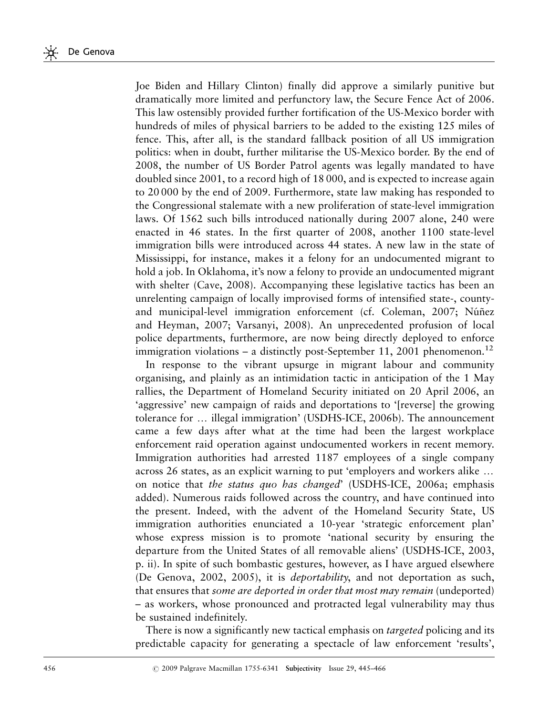Joe Biden and Hillary Clinton) finally did approve a similarly punitive but dramatically more limited and perfunctory law, the Secure Fence Act of 2006. This law ostensibly provided further fortification of the US-Mexico border with hundreds of miles of physical barriers to be added to the existing 125 miles of fence. This, after all, is the standard fallback position of all US immigration politics: when in doubt, further militarise the US-Mexico border. By the end of 2008, the number of US Border Patrol agents was legally mandated to have doubled since 2001, to a record high of 18 000, and is expected to increase again to 20 000 by the end of 2009. Furthermore, state law making has responded to the Congressional stalemate with a new proliferation of state-level immigration laws. Of 1562 such bills introduced nationally during 2007 alone, 240 were enacted in 46 states. In the first quarter of 2008, another 1100 state-level immigration bills were introduced across 44 states. A new law in the state of Mississippi, for instance, makes it a felony for an undocumented migrant to hold a job. In Oklahoma, it's now a felony to provide an undocumented migrant with shelter (Cave, 2008). Accompanying these legislative tactics has been an unrelenting campaign of locally improvised forms of intensified state-, countyand municipal-level immigration enforcement (cf. Coleman, 2007; Núñez and Heyman, 2007; Varsanyi, 2008). An unprecedented profusion of local police departments, furthermore, are now being directly deployed to enforce immigration violations – a distinctly post-September 11, 2001 phenomenon.<sup>12</sup>

In response to the vibrant upsurge in migrant labour and community organising, and plainly as an intimidation tactic in anticipation of the 1 May rallies, the Department of Homeland Security initiated on 20 April 2006, an 'aggressive' new campaign of raids and deportations to '[reverse] the growing tolerance for ... illegal immigration' (USDHS-ICE, 2006b). The announcement came a few days after what at the time had been the largest workplace enforcement raid operation against undocumented workers in recent memory. Immigration authorities had arrested 1187 employees of a single company across 26 states, as an explicit warning to put 'employers and workers alike ... on notice that the status quo has changed' (USDHS-ICE, 2006a; emphasis added). Numerous raids followed across the country, and have continued into the present. Indeed, with the advent of the Homeland Security State, US immigration authorities enunciated a 10-year 'strategic enforcement plan' whose express mission is to promote 'national security by ensuring the departure from the United States of all removable aliens' (USDHS-ICE, 2003, p. ii). In spite of such bombastic gestures, however, as I have argued elsewhere (De Genova, 2002, 2005), it is deportability, and not deportation as such, that ensures that *some are deported in order that most may remain* (undeported) – as workers, whose pronounced and protracted legal vulnerability may thus be sustained indefinitely.

There is now a significantly new tactical emphasis on *targeted* policing and its predictable capacity for generating a spectacle of law enforcement 'results',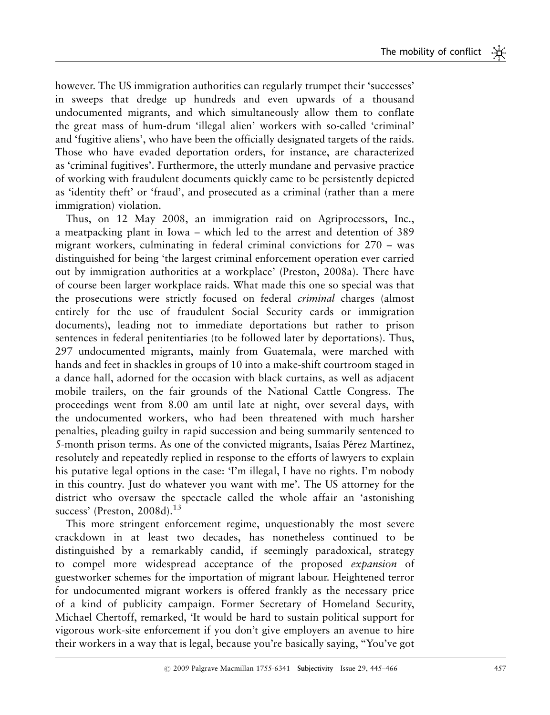however. The US immigration authorities can regularly trumpet their 'successes' in sweeps that dredge up hundreds and even upwards of a thousand undocumented migrants, and which simultaneously allow them to conflate the great mass of hum-drum 'illegal alien' workers with so-called 'criminal' and 'fugitive aliens', who have been the officially designated targets of the raids. Those who have evaded deportation orders, for instance, are characterized as 'criminal fugitives'. Furthermore, the utterly mundane and pervasive practice of working with fraudulent documents quickly came to be persistently depicted as 'identity theft' or 'fraud', and prosecuted as a criminal (rather than a mere immigration) violation.

Thus, on 12 May 2008, an immigration raid on Agriprocessors, Inc., a meatpacking plant in Iowa – which led to the arrest and detention of 389 migrant workers, culminating in federal criminal convictions for 270 – was distinguished for being 'the largest criminal enforcement operation ever carried out by immigration authorities at a workplace' (Preston, 2008a). There have of course been larger workplace raids. What made this one so special was that the prosecutions were strictly focused on federal criminal charges (almost entirely for the use of fraudulent Social Security cards or immigration documents), leading not to immediate deportations but rather to prison sentences in federal penitentiaries (to be followed later by deportations). Thus, 297 undocumented migrants, mainly from Guatemala, were marched with hands and feet in shackles in groups of 10 into a make-shift courtroom staged in a dance hall, adorned for the occasion with black curtains, as well as adjacent mobile trailers, on the fair grounds of the National Cattle Congress. The proceedings went from 8.00 am until late at night, over several days, with the undocumented workers, who had been threatened with much harsher penalties, pleading guilty in rapid succession and being summarily sentenced to 5-month prison terms. As one of the convicted migrants, Isaías Pérez Martínez, resolutely and repeatedly replied in response to the efforts of lawyers to explain his putative legal options in the case: 'I'm illegal, I have no rights. I'm nobody in this country. Just do whatever you want with me'. The US attorney for the district who oversaw the spectacle called the whole affair an 'astonishing success' (Preston, 2008d).<sup>13</sup>

This more stringent enforcement regime, unquestionably the most severe crackdown in at least two decades, has nonetheless continued to be distinguished by a remarkably candid, if seemingly paradoxical, strategy to compel more widespread acceptance of the proposed expansion of guestworker schemes for the importation of migrant labour. Heightened terror for undocumented migrant workers is offered frankly as the necessary price of a kind of publicity campaign. Former Secretary of Homeland Security, Michael Chertoff, remarked, 'It would be hard to sustain political support for vigorous work-site enforcement if you don't give employers an avenue to hire their workers in a way that is legal, because you're basically saying, ''You've got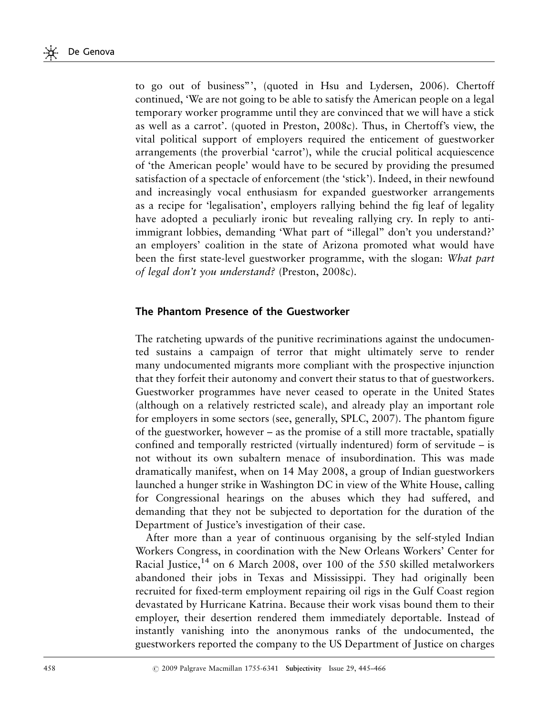to go out of business''', (quoted in Hsu and Lydersen, 2006). Chertoff continued, 'We are not going to be able to satisfy the American people on a legal temporary worker programme until they are convinced that we will have a stick as well as a carrot'. (quoted in Preston, 2008c). Thus, in Chertoff's view, the vital political support of employers required the enticement of guestworker arrangements (the proverbial 'carrot'), while the crucial political acquiescence of 'the American people' would have to be secured by providing the presumed satisfaction of a spectacle of enforcement (the 'stick'). Indeed, in their newfound and increasingly vocal enthusiasm for expanded guestworker arrangements as a recipe for 'legalisation', employers rallying behind the fig leaf of legality have adopted a peculiarly ironic but revealing rallying cry. In reply to antiimmigrant lobbies, demanding 'What part of ''illegal'' don't you understand?' an employers' coalition in the state of Arizona promoted what would have been the first state-level guestworker programme, with the slogan: What part of legal don't you understand? (Preston, 2008c).

#### The Phantom Presence of the Guestworker

The ratcheting upwards of the punitive recriminations against the undocumented sustains a campaign of terror that might ultimately serve to render many undocumented migrants more compliant with the prospective injunction that they forfeit their autonomy and convert their status to that of guestworkers. Guestworker programmes have never ceased to operate in the United States (although on a relatively restricted scale), and already play an important role for employers in some sectors (see, generally, SPLC, 2007). The phantom figure of the guestworker, however – as the promise of a still more tractable, spatially confined and temporally restricted (virtually indentured) form of servitude – is not without its own subaltern menace of insubordination. This was made dramatically manifest, when on 14 May 2008, a group of Indian guestworkers launched a hunger strike in Washington DC in view of the White House, calling for Congressional hearings on the abuses which they had suffered, and demanding that they not be subjected to deportation for the duration of the Department of Justice's investigation of their case.

After more than a year of continuous organising by the self-styled Indian Workers Congress, in coordination with the New Orleans Workers' Center for Racial Justice,<sup>14</sup> on 6 March 2008, over 100 of the 550 skilled metalworkers abandoned their jobs in Texas and Mississippi. They had originally been recruited for fixed-term employment repairing oil rigs in the Gulf Coast region devastated by Hurricane Katrina. Because their work visas bound them to their employer, their desertion rendered them immediately deportable. Instead of instantly vanishing into the anonymous ranks of the undocumented, the guestworkers reported the company to the US Department of Justice on charges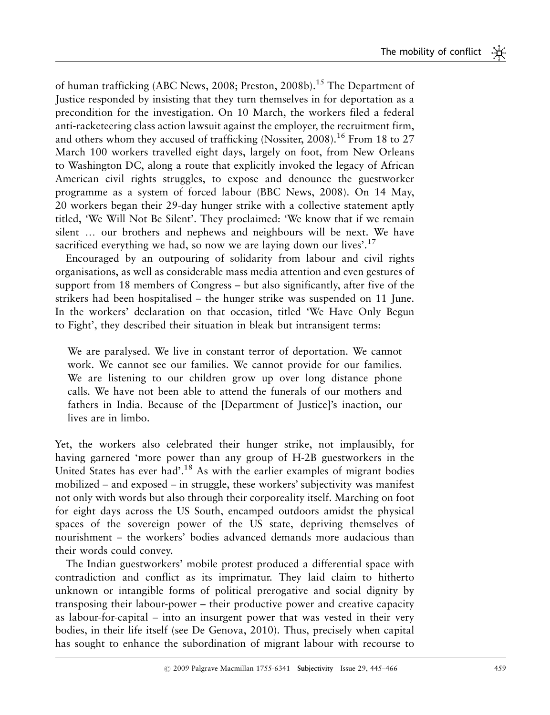of human trafficking (ABC News, 2008; Preston, 2008b).<sup>15</sup> The Department of Justice responded by insisting that they turn themselves in for deportation as a precondition for the investigation. On 10 March, the workers filed a federal anti-racketeering class action lawsuit against the employer, the recruitment firm, and others whom they accused of trafficking (Nossiter, 2008).<sup>16</sup> From 18 to 27 March 100 workers travelled eight days, largely on foot, from New Orleans to Washington DC, along a route that explicitly invoked the legacy of African American civil rights struggles, to expose and denounce the guestworker programme as a system of forced labour (BBC News, 2008). On 14 May, 20 workers began their 29-day hunger strike with a collective statement aptly titled, 'We Will Not Be Silent'. They proclaimed: 'We know that if we remain silent ... our brothers and nephews and neighbours will be next. We have sacrificed everything we had, so now we are laying down our lives'.<sup>17</sup>

Encouraged by an outpouring of solidarity from labour and civil rights organisations, as well as considerable mass media attention and even gestures of support from 18 members of Congress – but also significantly, after five of the strikers had been hospitalised – the hunger strike was suspended on 11 June. In the workers' declaration on that occasion, titled 'We Have Only Begun to Fight', they described their situation in bleak but intransigent terms:

We are paralysed. We live in constant terror of deportation. We cannot work. We cannot see our families. We cannot provide for our families. We are listening to our children grow up over long distance phone calls. We have not been able to attend the funerals of our mothers and fathers in India. Because of the [Department of Justice]'s inaction, our lives are in limbo.

Yet, the workers also celebrated their hunger strike, not implausibly, for having garnered 'more power than any group of H-2B guestworkers in the United States has ever had'.<sup>18</sup> As with the earlier examples of migrant bodies mobilized – and exposed – in struggle, these workers' subjectivity was manifest not only with words but also through their corporeality itself. Marching on foot for eight days across the US South, encamped outdoors amidst the physical spaces of the sovereign power of the US state, depriving themselves of nourishment – the workers' bodies advanced demands more audacious than their words could convey.

The Indian guestworkers' mobile protest produced a differential space with contradiction and conflict as its imprimatur. They laid claim to hitherto unknown or intangible forms of political prerogative and social dignity by transposing their labour-power – their productive power and creative capacity as labour-for-capital – into an insurgent power that was vested in their very bodies, in their life itself (see De Genova, 2010). Thus, precisely when capital has sought to enhance the subordination of migrant labour with recourse to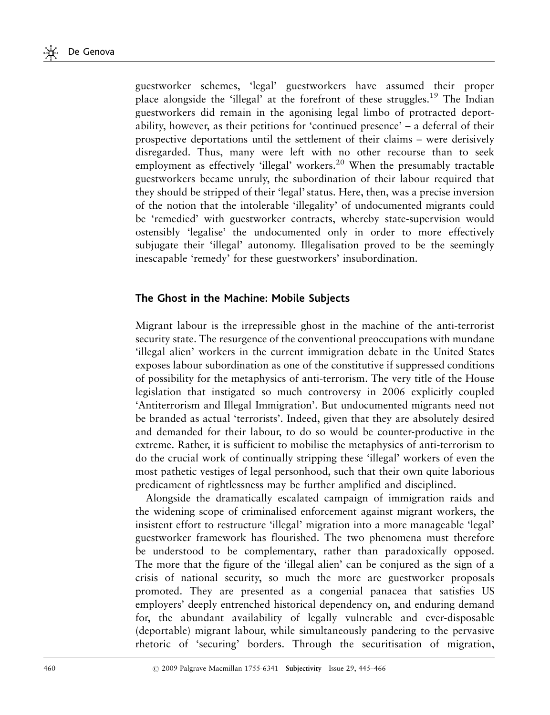guestworker schemes, 'legal' guestworkers have assumed their proper place alongside the 'illegal' at the forefront of these struggles.<sup>19</sup> The Indian guestworkers did remain in the agonising legal limbo of protracted deportability, however, as their petitions for 'continued presence' – a deferral of their prospective deportations until the settlement of their claims – were derisively disregarded. Thus, many were left with no other recourse than to seek employment as effectively 'illegal' workers.<sup>20</sup> When the presumably tractable guestworkers became unruly, the subordination of their labour required that they should be stripped of their 'legal' status. Here, then, was a precise inversion of the notion that the intolerable 'illegality' of undocumented migrants could be 'remedied' with guestworker contracts, whereby state-supervision would ostensibly 'legalise' the undocumented only in order to more effectively subjugate their 'illegal' autonomy. Illegalisation proved to be the seemingly inescapable 'remedy' for these guestworkers' insubordination.

#### The Ghost in the Machine: Mobile Subjects

Migrant labour is the irrepressible ghost in the machine of the anti-terrorist security state. The resurgence of the conventional preoccupations with mundane 'illegal alien' workers in the current immigration debate in the United States exposes labour subordination as one of the constitutive if suppressed conditions of possibility for the metaphysics of anti-terrorism. The very title of the House legislation that instigated so much controversy in 2006 explicitly coupled 'Antiterrorism and Illegal Immigration'. But undocumented migrants need not be branded as actual 'terrorists'. Indeed, given that they are absolutely desired and demanded for their labour, to do so would be counter-productive in the extreme. Rather, it is sufficient to mobilise the metaphysics of anti-terrorism to do the crucial work of continually stripping these 'illegal' workers of even the most pathetic vestiges of legal personhood, such that their own quite laborious predicament of rightlessness may be further amplified and disciplined.

Alongside the dramatically escalated campaign of immigration raids and the widening scope of criminalised enforcement against migrant workers, the insistent effort to restructure 'illegal' migration into a more manageable 'legal' guestworker framework has flourished. The two phenomena must therefore be understood to be complementary, rather than paradoxically opposed. The more that the figure of the 'illegal alien' can be conjured as the sign of a crisis of national security, so much the more are guestworker proposals promoted. They are presented as a congenial panacea that satisfies US employers' deeply entrenched historical dependency on, and enduring demand for, the abundant availability of legally vulnerable and ever-disposable (deportable) migrant labour, while simultaneously pandering to the pervasive rhetoric of 'securing' borders. Through the securitisation of migration,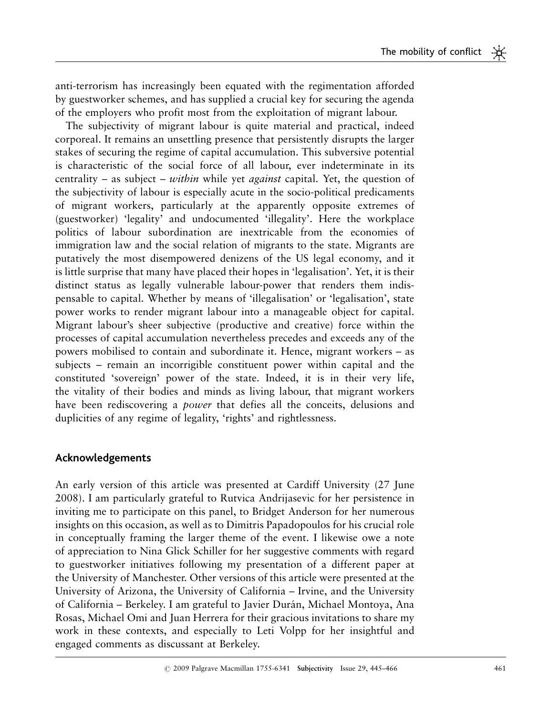anti-terrorism has increasingly been equated with the regimentation afforded by guestworker schemes, and has supplied a crucial key for securing the agenda of the employers who profit most from the exploitation of migrant labour.

The subjectivity of migrant labour is quite material and practical, indeed corporeal. It remains an unsettling presence that persistently disrupts the larger stakes of securing the regime of capital accumulation. This subversive potential is characteristic of the social force of all labour, ever indeterminate in its centrality – as subject – *within* while yet *against* capital. Yet, the question of the subjectivity of labour is especially acute in the socio-political predicaments of migrant workers, particularly at the apparently opposite extremes of (guestworker) 'legality' and undocumented 'illegality'. Here the workplace politics of labour subordination are inextricable from the economies of immigration law and the social relation of migrants to the state. Migrants are putatively the most disempowered denizens of the US legal economy, and it is little surprise that many have placed their hopes in 'legalisation'. Yet, it is their distinct status as legally vulnerable labour-power that renders them indispensable to capital. Whether by means of 'illegalisation' or 'legalisation', state power works to render migrant labour into a manageable object for capital. Migrant labour's sheer subjective (productive and creative) force within the processes of capital accumulation nevertheless precedes and exceeds any of the powers mobilised to contain and subordinate it. Hence, migrant workers – as subjects – remain an incorrigible constituent power within capital and the constituted 'sovereign' power of the state. Indeed, it is in their very life, the vitality of their bodies and minds as living labour, that migrant workers have been rediscovering a *power* that defies all the conceits, delusions and duplicities of any regime of legality, 'rights' and rightlessness.

#### Acknowledgements

An early version of this article was presented at Cardiff University (27 June 2008). I am particularly grateful to Rutvica Andrijasevic for her persistence in inviting me to participate on this panel, to Bridget Anderson for her numerous insights on this occasion, as well as to Dimitris Papadopoulos for his crucial role in conceptually framing the larger theme of the event. I likewise owe a note of appreciation to Nina Glick Schiller for her suggestive comments with regard to guestworker initiatives following my presentation of a different paper at the University of Manchester. Other versions of this article were presented at the University of Arizona, the University of California – Irvine, and the University of California – Berkeley. I am grateful to Javier Durán, Michael Montoya, Ana Rosas, Michael Omi and Juan Herrera for their gracious invitations to share my work in these contexts, and especially to Leti Volpp for her insightful and engaged comments as discussant at Berkeley.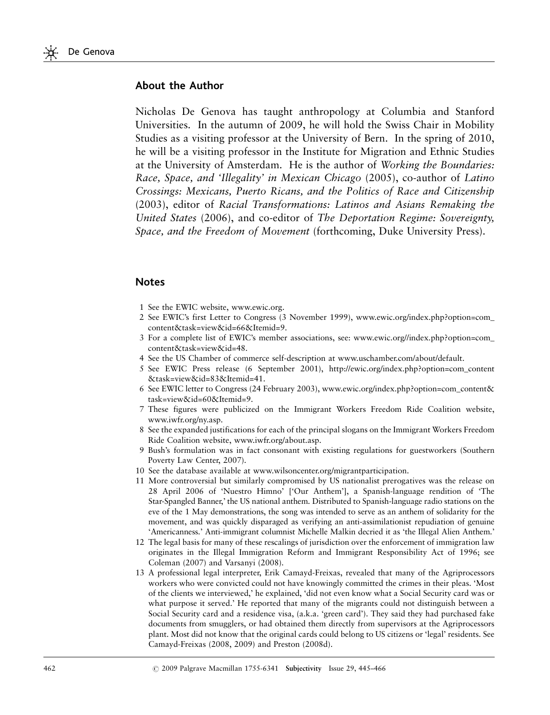#### About the Author

Nicholas De Genova has taught anthropology at Columbia and Stanford Universities. In the autumn of 2009, he will hold the Swiss Chair in Mobility Studies as a visiting professor at the University of Bern. In the spring of 2010, he will be a visiting professor in the Institute for Migration and Ethnic Studies at the University of Amsterdam. He is the author of Working the Boundaries: Race, Space, and 'Illegality' in Mexican Chicago (2005), co-author of Latino Crossings: Mexicans, Puerto Ricans, and the Politics of Race and Citizenship (2003), editor of Racial Transformations: Latinos and Asians Remaking the United States (2006), and co-editor of The Deportation Regime: Sovereignty, Space, and the Freedom of Movement (forthcoming, Duke University Press).

#### **Notes**

- 1 See the EWIC website, www.ewic.org.
- 2 See EWIC's first Letter to Congress (3 November 1999), www.ewic.org/index.php?option=com\_ content&task=view&id=66&Itemid=9.
- 3 For a complete list of EWIC's member associations, see: www.ewic.org//index.php?option=com\_ content&task=view&id=48.
- 4 See the US Chamber of commerce self-description at www.uschamber.com/about/default.
- 5 See EWIC Press release (6 September 2001), http://ewic.org/index.php?option=com\_content &task=view&id=83&Itemid=41.
- 6 See EWIC letter to Congress (24 February 2003), www.ewic.org/index.php?option=com\_content& task=view&id=60&Itemid=9.
- 7 These figures were publicized on the Immigrant Workers Freedom Ride Coalition website, www.iwfr.org/ny.asp.
- 8 See the expanded justifications for each of the principal slogans on the Immigrant Workers Freedom Ride Coalition website, www.iwfr.org/about.asp.
- 9 Bush's formulation was in fact consonant with existing regulations for guestworkers (Southern Poverty Law Center, 2007).
- 10 See the database available at www.wilsoncenter.org/migrantparticipation.
- 11 More controversial but similarly compromised by US nationalist prerogatives was the release on 28 April 2006 of 'Nuestro Himno' ['Our Anthem'], a Spanish-language rendition of 'The Star-Spangled Banner,' the US national anthem. Distributed to Spanish-language radio stations on the eve of the 1 May demonstrations, the song was intended to serve as an anthem of solidarity for the movement, and was quickly disparaged as verifying an anti-assimilationist repudiation of genuine 'Americanness.' Anti-immigrant columnist Michelle Malkin decried it as 'the Illegal Alien Anthem.'
- 12 The legal basis for many of these rescalings of jurisdiction over the enforcement of immigration law originates in the Illegal Immigration Reform and Immigrant Responsibility Act of 1996; see Coleman (2007) and Varsanyi (2008).
- 13 A professional legal interpreter, Erik Camayd-Freixas, revealed that many of the Agriprocessors workers who were convicted could not have knowingly committed the crimes in their pleas. 'Most of the clients we interviewed,' he explained, 'did not even know what a Social Security card was or what purpose it served.' He reported that many of the migrants could not distinguish between a Social Security card and a residence visa, (a.k.a. 'green card'). They said they had purchased fake documents from smugglers, or had obtained them directly from supervisors at the Agriprocessors plant. Most did not know that the original cards could belong to US citizens or 'legal' residents. See Camayd-Freixas (2008, 2009) and Preston (2008d).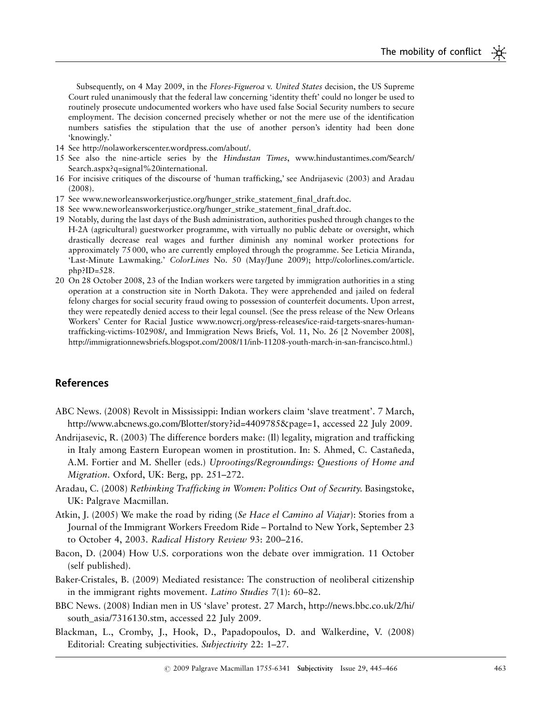Subsequently, on 4 May 2009, in the Flores-Figueroa v. United States decision, the US Supreme Court ruled unanimously that the federal law concerning 'identity theft' could no longer be used to routinely prosecute undocumented workers who have used false Social Security numbers to secure employment. The decision concerned precisely whether or not the mere use of the identification numbers satisfies the stipulation that the use of another person's identity had been done 'knowingly.'

- 14 See http://nolaworkerscenter.wordpress.com/about/.
- 15 See also the nine-article series by the Hindustan Times, www.hindustantimes.com/Search/ Search.aspx?q=signal%20international.
- 16 For incisive critiques of the discourse of 'human trafficking,' see Andrijasevic (2003) and Aradau (2008).
- 17 See www.neworleansworkerjustice.org/hunger\_strike\_statement\_final\_draft.doc.
- 18 See www.neworleansworkerjustice.org/hunger\_strike\_statement\_final\_draft.doc.
- 19 Notably, during the last days of the Bush administration, authorities pushed through changes to the H-2A (agricultural) guestworker programme, with virtually no public debate or oversight, which drastically decrease real wages and further diminish any nominal worker protections for approximately 75 000, who are currently employed through the programme. See Leticia Miranda, 'Last-Minute Lawmaking.' ColorLines No. 50 (May/June 2009); http://colorlines.com/article. php?ID=528.
- 20 On 28 October 2008, 23 of the Indian workers were targeted by immigration authorities in a sting operation at a construction site in North Dakota. They were apprehended and jailed on federal felony charges for social security fraud owing to possession of counterfeit documents. Upon arrest, they were repeatedly denied access to their legal counsel. (See the press release of the New Orleans Workers' Center for Racial Justice www.nowcrj.org/press-releases/ice-raid-targets-snares-humantrafficking-victims-102908/, and Immigration News Briefs, Vol. 11, No. 26 [2 November 2008], http://immigrationnewsbriefs.blogspot.com/2008/11/inb-11208-youth-march-in-san-francisco.html.)

#### References

- ABC News. (2008) Revolt in Mississippi: Indian workers claim 'slave treatment'. 7 March, http://www.abcnews.go.com/Blotter/story?id=4409785&page=1, accessed 22 July 2009.
- Andrijasevic, R. (2003) The difference borders make: (Il) legality, migration and trafficking in Italy among Eastern European women in prostitution. In: S. Ahmed, C. Castañeda, A.M. Fortier and M. Sheller (eds.) Uprootings/Regroundings: Questions of Home and Migration. Oxford, UK: Berg, pp. 251–272.
- Aradau, C. (2008) Rethinking Trafficking in Women: Politics Out of Security. Basingstoke, UK: Palgrave Macmillan.
- Atkin, J. (2005) We make the road by riding (Se Hace el Camino al Viajar): Stories from a Journal of the Immigrant Workers Freedom Ride – Portalnd to New York, September 23 to October 4, 2003. Radical History Review 93: 200–216.
- Bacon, D. (2004) How U.S. corporations won the debate over immigration. 11 October (self published).
- Baker-Cristales, B. (2009) Mediated resistance: The construction of neoliberal citizenship in the immigrant rights movement. Latino Studies 7(1): 60–82.
- BBC News. (2008) Indian men in US 'slave' protest. 27 March, http://news.bbc.co.uk/2/hi/ south\_asia/7316130.stm, accessed 22 July 2009.
- Blackman, L., Cromby, J., Hook, D., Papadopoulos, D. and Walkerdine, V. (2008) Editorial: Creating subjectivities. Subjectivity 22: 1–27.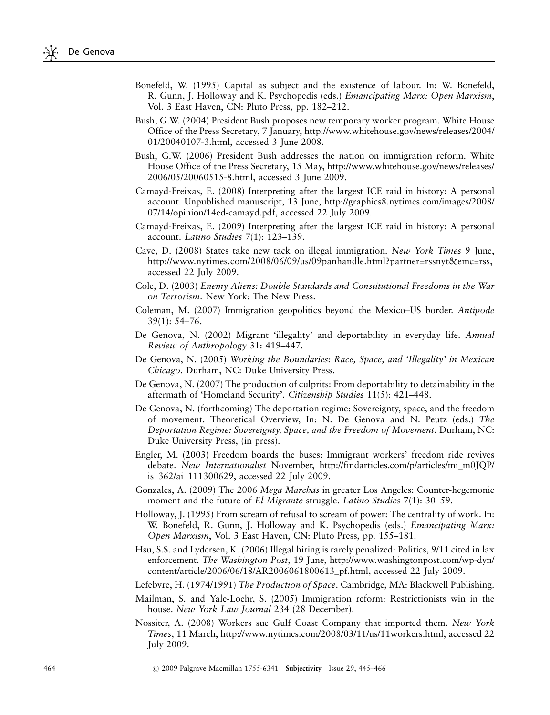- Bonefeld, W. (1995) Capital as subject and the existence of labour. In: W. Bonefeld, R. Gunn, J. Holloway and K. Psychopedis (eds.) Emancipating Marx: Open Marxism, Vol. 3 East Haven, CN: Pluto Press, pp. 182–212.
- Bush, G.W. (2004) President Bush proposes new temporary worker program. White House Office of the Press Secretary, 7 January, http://www.whitehouse.gov/news/releases/2004/ 01/20040107-3.html, accessed 3 June 2008.
- Bush, G.W. (2006) President Bush addresses the nation on immigration reform. White House Office of the Press Secretary, 15 May, http://www.whitehouse.gov/news/releases/ 2006/05/20060515-8.html, accessed 3 June 2009.
- Camayd-Freixas, E. (2008) Interpreting after the largest ICE raid in history: A personal account. Unpublished manuscript, 13 June, http://graphics8.nytimes.com/images/2008/ 07/14/opinion/14ed-camayd.pdf, accessed 22 July 2009.
- Camayd-Freixas, E. (2009) Interpreting after the largest ICE raid in history: A personal account. Latino Studies 7(1): 123–139.
- Cave, D. (2008) States take new tack on illegal immigration. New York Times 9 June, http://www.nytimes.com/2008/06/09/us/09panhandle.html?partner=rssnyt&emc=rss, accessed 22 July 2009.
- Cole, D. (2003) Enemy Aliens: Double Standards and Constitutional Freedoms in the War on Terrorism. New York: The New Press.
- Coleman, M. (2007) Immigration geopolitics beyond the Mexico–US border. Antipode 39(1): 54–76.
- De Genova, N. (2002) Migrant 'illegality' and deportability in everyday life. Annual Review of Anthropology 31: 419–447.
- De Genova, N. (2005) Working the Boundaries: Race, Space, and 'Illegality' in Mexican Chicago. Durham, NC: Duke University Press.
- De Genova, N. (2007) The production of culprits: From deportability to detainability in the aftermath of 'Homeland Security'. Citizenship Studies 11(5): 421–448.
- De Genova, N. (forthcoming) The deportation regime: Sovereignty, space, and the freedom of movement. Theoretical Overview, In: N. De Genova and N. Peutz (eds.) The Deportation Regime: Sovereignty, Space, and the Freedom of Movement. Durham, NC: Duke University Press, (in press).
- Engler, M. (2003) Freedom boards the buses: Immigrant workers' freedom ride revives debate. New Internationalist November, http://findarticles.com/p/articles/mi\_m0JQP/ is\_362/ai\_111300629, accessed 22 July 2009.
- Gonzales, A. (2009) The 2006 Mega Marchas in greater Los Angeles: Counter-hegemonic moment and the future of El Migrante struggle. Latino Studies 7(1): 30-59.
- Holloway, J. (1995) From scream of refusal to scream of power: The centrality of work. In: W. Bonefeld, R. Gunn, J. Holloway and K. Psychopedis (eds.) *Emancipating Marx:* Open Marxism, Vol. 3 East Haven, CN: Pluto Press, pp. 155–181.
- Hsu, S.S. and Lydersen, K. (2006) Illegal hiring is rarely penalized: Politics, 9/11 cited in lax enforcement. The Washington Post, 19 June, http://www.washingtonpost.com/wp-dyn/ content/article/2006/06/18/AR2006061800613\_pf.html, accessed 22 July 2009.
- Lefebvre, H. (1974/1991) The Production of Space. Cambridge, MA: Blackwell Publishing.
- Mailman, S. and Yale-Loehr, S. (2005) Immigration reform: Restrictionists win in the house. New York Law Journal 234 (28 December).
- Nossiter, A. (2008) Workers sue Gulf Coast Company that imported them. New York Times, 11 March, http://www.nytimes.com/2008/03/11/us/11workers.html, accessed 22 July 2009.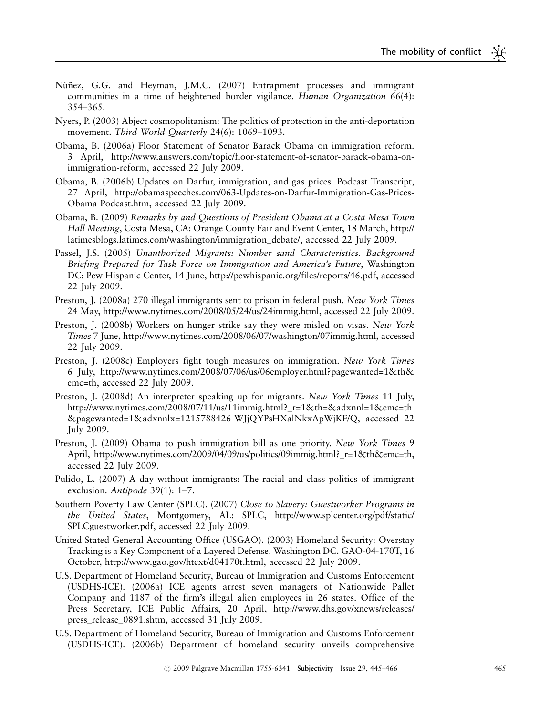- Núñez, G.G. and Heyman, J.M.C. (2007) Entrapment processes and immigrant communities in a time of heightened border vigilance. Human Organization 66(4): 354–365.
- Nyers, P. (2003) Abject cosmopolitanism: The politics of protection in the anti-deportation movement. Third World Quarterly 24(6): 1069–1093.
- Obama, B. (2006a) Floor Statement of Senator Barack Obama on immigration reform. 3 April, http://www.answers.com/topic/floor-statement-of-senator-barack-obama-onimmigration-reform, accessed 22 July 2009.
- Obama, B. (2006b) Updates on Darfur, immigration, and gas prices. Podcast Transcript, 27 April, http://obamaspeeches.com/063-Updates-on-Darfur-Immigration-Gas-Prices-Obama-Podcast.htm, accessed 22 July 2009.
- Obama, B. (2009) Remarks by and Questions of President Obama at a Costa Mesa Town Hall Meeting, Costa Mesa, CA: Orange County Fair and Event Center, 18 March, http:// latimesblogs.latimes.com/washington/immigration\_debate/, accessed 22 July 2009.
- Passel, J.S. (2005) Unauthorized Migrants: Number sand Characteristics. Background Briefing Prepared for Task Force on Immigration and America's Future, Washington DC: Pew Hispanic Center, 14 June, http://pewhispanic.org/files/reports/46.pdf, accessed 22 July 2009.
- Preston, J. (2008a) 270 illegal immigrants sent to prison in federal push. New York Times 24 May, http://www.nytimes.com/2008/05/24/us/24immig.html, accessed 22 July 2009.
- Preston, J. (2008b) Workers on hunger strike say they were misled on visas. New York Times 7 June, http://www.nytimes.com/2008/06/07/washington/07immig.html, accessed 22 July 2009.
- Preston, J. (2008c) Employers fight tough measures on immigration. New York Times 6 July, http://www.nytimes.com/2008/07/06/us/06employer.html?pagewanted=1&th& emc=th, accessed 22 July 2009.
- Preston, J. (2008d) An interpreter speaking up for migrants. New York Times 11 July, http://www.nytimes.com/2008/07/11/us/11immig.html?\_r=1&th=&adxnnl=1&emc=th &pagewanted=1&adxnnlx=1215788426-WJjQYPsHXalNkxApWjKF/Q, accessed 22 July 2009.
- Preston, J. (2009) Obama to push immigration bill as one priority. New York Times 9 April, http://www.nytimes.com/2009/04/09/us/politics/09immig.html?\_r=1&th&emc=th, accessed 22 July 2009.
- Pulido, L. (2007) A day without immigrants: The racial and class politics of immigrant exclusion. Antipode 39(1): 1–7.
- Southern Poverty Law Center (SPLC). (2007) Close to Slavery: Guestworker Programs in the United States, Montgomery, AL: SPLC, http://www.splcenter.org/pdf/static/ SPLCguestworker.pdf, accessed 22 July 2009.
- United Stated General Accounting Office (USGAO). (2003) Homeland Security: Overstay Tracking is a Key Component of a Layered Defense. Washington DC. GAO-04-170T, 16 October, http://www.gao.gov/htext/d04170t.html, accessed 22 July 2009.
- U.S. Department of Homeland Security, Bureau of Immigration and Customs Enforcement (USDHS-ICE). (2006a) ICE agents arrest seven managers of Nationwide Pallet Company and 1187 of the firm's illegal alien employees in 26 states. Office of the Press Secretary, ICE Public Affairs, 20 April, http://www.dhs.gov/xnews/releases/ press\_release\_0891.shtm, accessed 31 July 2009.
- U.S. Department of Homeland Security, Bureau of Immigration and Customs Enforcement (USDHS-ICE). (2006b) Department of homeland security unveils comprehensive